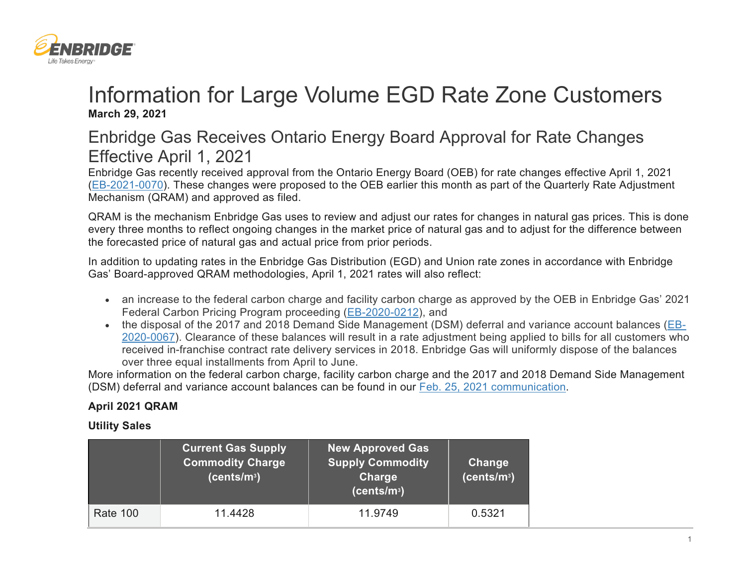

# Information for Large Volume EGD Rate Zone Customers **March 29, 2021**

# Enbridge Gas Receives Ontario Energy Board Approval for Rate Changes Effective April 1, 2021

Enbridge Gas recently received approval from the Ontario Energy Board (OEB) for rate changes effective April 1, 2021 [\(EB-2021-0070\)](https://www.enbridgegas.com/Regulatory-Proceedings). These changes were proposed to the OEB earlier this month as part of the Quarterly Rate Adjustment Mechanism (QRAM) and approved as filed.

QRAM is the mechanism Enbridge Gas uses to review and adjust our rates for changes in natural gas prices. This is done every three months to reflect ongoing changes in the market price of natural gas and to adjust for the difference between the forecasted price of natural gas and actual price from prior periods.

In addition to updating rates in the Enbridge Gas Distribution (EGD) and Union rate zones in accordance with Enbridge Gas' Board-approved QRAM methodologies, April 1, 2021 rates will also reflect:

- an increase to the federal carbon charge and facility carbon charge as approved by the OEB in Enbridge Gas' 2021 Federal Carbon Pricing Program proceeding [\(EB-2020-0212\)](https://www.enbridgegas.com/Regulatory-Proceedings), and
- the disposal of the 2017 and 2018 Demand Side Management (DSM) deferral and variance account balances [\(EB-](https://www.enbridgegas.com/Regulatory-Proceedings)[2020-0067\)](https://www.enbridgegas.com/Regulatory-Proceedings). Clearance of these balances will result in a rate adjustment being applied to bills for all customers who received in-franchise contract rate delivery services in 2018. Enbridge Gas will uniformly dispose of the balances over three equal installments from April to June.

More information on the federal carbon charge, facility carbon charge and the 2017 and 2018 Demand Side Management (DSM) deferral and variance account balances can be found in our [Feb. 25, 2021 communication.](https://www.enbridgegas.com/commercial-and-industrial/data-sources/large-volume-customer-comm-feb-25-2021)

## **April 2021 QRAM**

### **Utility Sales**

|                 | <b>Current Gas Supply</b><br><b>Commodity Charge</b><br>(cents/m <sup>3</sup> ) | <b>New Approved Gas</b><br><b>Supply Commodity</b><br><b>Charge</b><br>(cents/m <sup>3</sup> ) | Change<br>(cents/m <sup>3</sup> ) |
|-----------------|---------------------------------------------------------------------------------|------------------------------------------------------------------------------------------------|-----------------------------------|
| <b>Rate 100</b> | 11.4428                                                                         | 11.9749                                                                                        | 0.5321                            |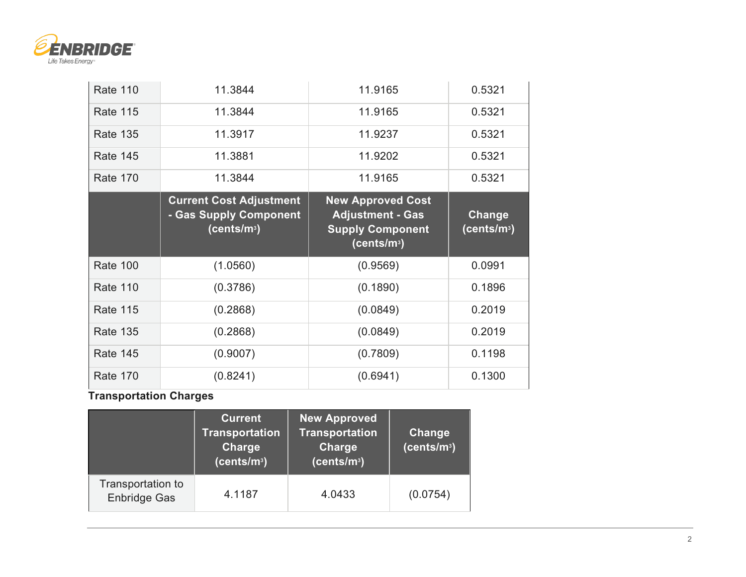

| <b>Rate 110</b> | 11.3844                                                                             | 11.9165                                                                        | 0.5321                            |
|-----------------|-------------------------------------------------------------------------------------|--------------------------------------------------------------------------------|-----------------------------------|
| <b>Rate 115</b> | 11.3844                                                                             | 11.9165                                                                        | 0.5321                            |
| <b>Rate 135</b> | 11.3917                                                                             | 11.9237                                                                        | 0.5321                            |
| <b>Rate 145</b> | 11.3881                                                                             | 11.9202                                                                        | 0.5321                            |
| <b>Rate 170</b> | 11.3844                                                                             | 11.9165                                                                        | 0.5321                            |
|                 | <b>Current Cost Adjustment</b><br>- Gas Supply Component<br>(cents/m <sup>3</sup> ) | <b>New Approved Cost</b><br><b>Adjustment - Gas</b><br><b>Supply Component</b> | Change<br>(cents/m <sup>3</sup> ) |
|                 |                                                                                     | (cents/m <sup>3</sup> )                                                        |                                   |
| <b>Rate 100</b> | (1.0560)                                                                            | (0.9569)                                                                       | 0.0991                            |
| <b>Rate 110</b> | (0.3786)                                                                            | (0.1890)                                                                       | 0.1896                            |
| <b>Rate 115</b> | (0.2868)                                                                            | (0.0849)                                                                       | 0.2019                            |
| <b>Rate 135</b> | (0.2868)                                                                            | (0.0849)                                                                       | 0.2019                            |
| <b>Rate 145</b> | (0.9007)                                                                            | (0.7809)                                                                       | 0.1198                            |

**Transportation Charges**

|                                          | <b>Current</b><br><b>Transportation</b><br>Charge<br>(cents/m <sup>3</sup> ) | <b>New Approved</b><br><b>Transportation</b><br><b>Charge</b><br>(cents/m <sup>3</sup> ) | Change<br>(cents/m <sup>3</sup> ) |
|------------------------------------------|------------------------------------------------------------------------------|------------------------------------------------------------------------------------------|-----------------------------------|
| Transportation to<br><b>Enbridge Gas</b> | 4.1187                                                                       | 4.0433                                                                                   | (0.0754)                          |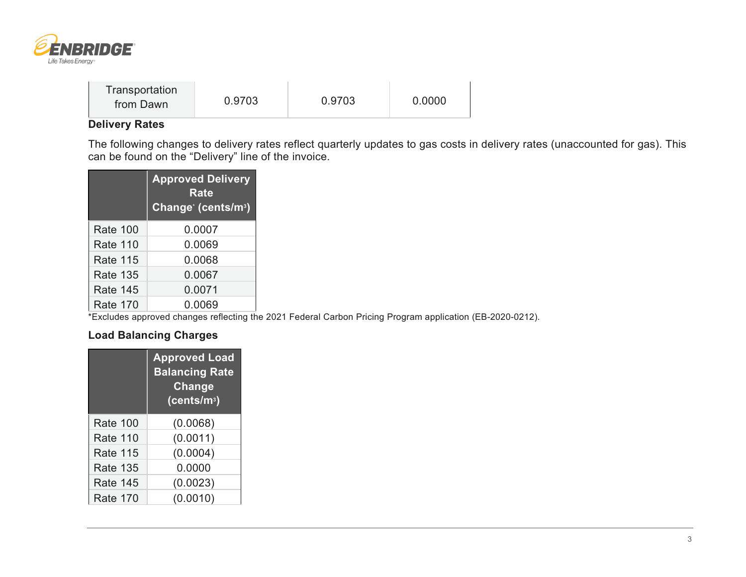

| Transportation |        |        |        |  |
|----------------|--------|--------|--------|--|
| from Dawn      | 0.9703 | 0.9703 | 0.0000 |  |

### **Delivery Rates**

The following changes to delivery rates reflect quarterly updates to gas costs in delivery rates (unaccounted for gas). This can be found on the "Delivery" line of the invoice.

|                 | <b>Approved Delivery</b><br><b>Rate</b><br>Change (cents/m <sup>3</sup> ) |
|-----------------|---------------------------------------------------------------------------|
| <b>Rate 100</b> | 0.0007                                                                    |
| <b>Rate 110</b> | 0.0069                                                                    |
| <b>Rate 115</b> | 0.0068                                                                    |
| <b>Rate 135</b> | 0.0067                                                                    |
| Rate 145        | 0.0071                                                                    |
| <b>Rate 170</b> | 0.0069                                                                    |

\*Excludes approved changes reflecting the 2021 Federal Carbon Pricing Program application (EB-2020-0212).

#### **Load Balancing Charges**

|                 | <b>Approved Load</b><br><b>Balancing Rate</b><br>Change<br>(cents/m <sup>3</sup> ) |
|-----------------|------------------------------------------------------------------------------------|
| <b>Rate 100</b> | (0.0068)                                                                           |
| <b>Rate 110</b> | (0.0011)                                                                           |
| <b>Rate 115</b> | (0.0004)                                                                           |
| <b>Rate 135</b> | 0.0000                                                                             |
| <b>Rate 145</b> | (0.0023)                                                                           |
| <b>Rate 170</b> | (0.0010)                                                                           |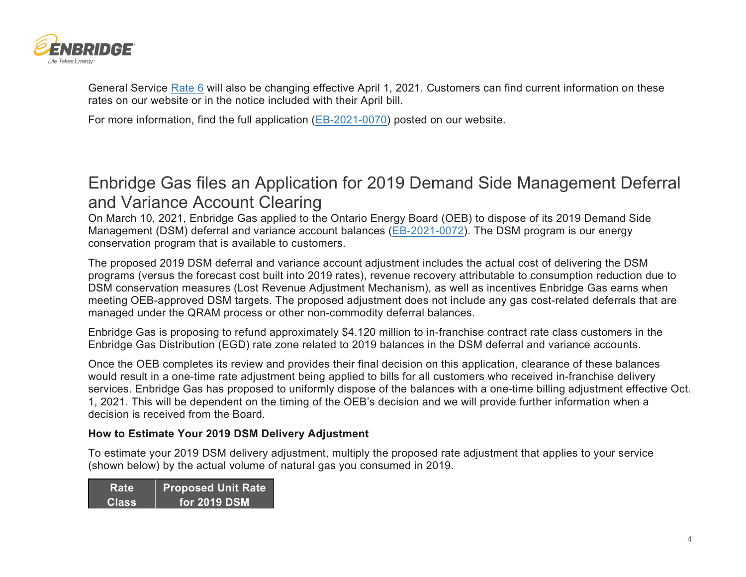

General Service [Rate 6](https://www.enbridgegas.com/Understanding-gas-rates#tab-content) will also be changing effective April 1, 2021. Customers can find current information on these rates on our website or in the notice included with their April bill.

For more information, find the full application [\(EB-2021-0070\)](https://www.enbridgegas.com/Regulatory-Proceedings) posted on our website.

# Enbridge Gas files an Application for 2019 Demand Side Management Deferral and Variance Account Clearing

On March 10, 2021, Enbridge Gas applied to the Ontario Energy Board (OEB) to dispose of its 2019 Demand Side Management (DSM) deferral and variance account balances [\(EB-2021-0072\)](https://www.enbridgegas.com/Regulatory-Proceedings). The DSM program is our energy conservation program that is available to customers.

The proposed 2019 DSM deferral and variance account adjustment includes the actual cost of delivering the DSM programs (versus the forecast cost built into 2019 rates), revenue recovery attributable to consumption reduction due to DSM conservation measures (Lost Revenue Adjustment Mechanism), as well as incentives Enbridge Gas earns when meeting OEB-approved DSM targets. The proposed adjustment does not include any gas cost-related deferrals that are managed under the QRAM process or other non-commodity deferral balances.

Enbridge Gas is proposing to refund approximately \$4.120 million to in-franchise contract rate class customers in the Enbridge Gas Distribution (EGD) rate zone related to 2019 balances in the DSM deferral and variance accounts.

Once the OEB completes its review and provides their final decision on this application, clearance of these balances would result in a one-time rate adjustment being applied to bills for all customers who received in-franchise delivery services. Enbridge Gas has proposed to uniformly dispose of the balances with a one-time billing adjustment effective Oct. 1, 2021. This will be dependent on the timing of the OEB's decision and we will provide further information when a decision is received from the Board.

#### **How to Estimate Your 2019 DSM Delivery Adjustment**

To estimate your 2019 DSM delivery adjustment, multiply the proposed rate adjustment that applies to your service (shown below) by the actual volume of natural gas you consumed in 2019.

| <b>Rate</b>  | <b>Proposed Unit Rate</b> |
|--------------|---------------------------|
| <b>Class</b> | <b>for 2019 DSM</b>       |